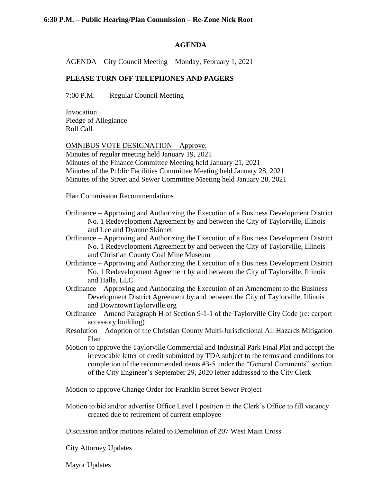#### **AGENDA**

AGENDA – City Council Meeting – Monday, February 1, 2021

# **PLEASE TURN OFF TELEPHONES AND PAGERS**

7:00 P.M. Regular Council Meeting

Invocation Pledge of Allegiance Roll Call

OMNIBUS VOTE DESIGNATION – Approve: Minutes of regular meeting held January 19, 2021 Minutes of the Finance Committee Meeting held January 21, 2021 Minutes of the Public Facilities Committee Meeting held January 28, 2021 Minutes of the Street and Sewer Committee Meeting held January 28, 2021

Plan Commission Recommendations

- Ordinance Approving and Authorizing the Execution of a Business Development District No. 1 Redevelopment Agreement by and between the City of Taylorville, Illinois and Lee and Dyanne Skinner
- Ordinance Approving and Authorizing the Execution of a Business Development District No. 1 Redevelopment Agreement by and between the City of Taylorville, Illinois and Christian County Coal Mine Museum
- Ordinance Approving and Authorizing the Execution of a Business Development District No. 1 Redevelopment Agreement by and between the City of Taylorville, Illinois and Halla, LLC
- Ordinance Approving and Authorizing the Execution of an Amendment to the Business Development District Agreement by and between the City of Taylorville, Illinois and DowntownTaylorville.org
- Ordinance Amend Paragraph H of Section 9-1-1 of the Taylorville City Code (re: carport accessory building)
- Resolution Adoption of the Christian County Multi-Jurisdictional All Hazards Mitigation Plan
- Motion to approve the Taylorville Commercial and Industrial Park Final Plat and accept the irrevocable letter of credit submitted by TDA subject to the terms and conditions for completion of the recommended items #3-5 under the "General Comments" section of the City Engineer's September 29, 2020 letter addressed to the City Clerk

Motion to approve Change Order for Franklin Street Sewer Project

Motion to bid and/or advertise Office Level I position in the Clerk's Office to fill vacancy created due to retirement of current employee

Discussion and/or motions related to Demolition of 207 West Main Cross

City Attorney Updates

Mayor Updates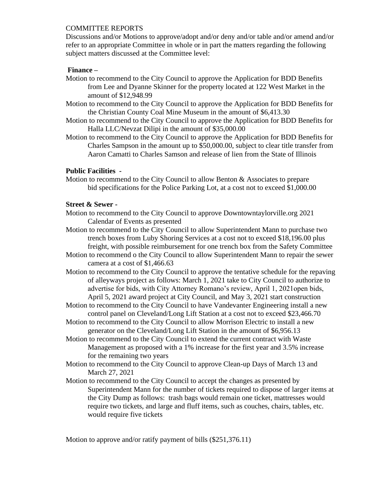## COMMITTEE REPORTS

Discussions and/or Motions to approve/adopt and/or deny and/or table and/or amend and/or refer to an appropriate Committee in whole or in part the matters regarding the following subject matters discussed at the Committee level:

# **Finance –**

- Motion to recommend to the City Council to approve the Application for BDD Benefits from Lee and Dyanne Skinner for the property located at 122 West Market in the amount of \$12,948.99
- Motion to recommend to the City Council to approve the Application for BDD Benefits for the Christian County Coal Mine Museum in the amount of \$6,413.30
- Motion to recommend to the City Council to approve the Application for BDD Benefits for Halla LLC/Nevzat Dilipi in the amount of \$35,000.00
- Motion to recommend to the City Council to approve the Application for BDD Benefits for Charles Sampson in the amount up to \$50,000.00, subject to clear title transfer from Aaron Camatti to Charles Samson and release of lien from the State of Illinois

## **Public Facilities -**

Motion to recommend to the City Council to allow Benton & Associates to prepare bid specifications for the Police Parking Lot, at a cost not to exceed \$1,000.00

#### **Street & Sewer -**

- Motion to recommend to the City Council to approve Downtowntaylorville.org 2021 Calendar of Events as presented
- Motion to recommend to the City Council to allow Superintendent Mann to purchase two trench boxes from Luby Shoring Services at a cost not to exceed \$18,196.00 plus freight, with possible reimbursement for one trench box from the Safety Committee
- Motion to recommend o the City Council to allow Superintendent Mann to repair the sewer camera at a cost of \$1,466.63
- Motion to recommend to the City Council to approve the tentative schedule for the repaving of alleyways project as follows: March 1, 2021 take to City Council to authorize to advertise for bids, with City Attorney Romano's review, April 1, 2021open bids, April 5, 2021 award project at City Council, and May 3, 2021 start construction
- Motion to recommend to the City Council to have Vandevanter Engineering install a new control panel on Cleveland/Long Lift Station at a cost not to exceed \$23,466.70
- Motion to recommend to the City Council to allow Morrison Electric to install a new generator on the Cleveland/Long Lift Station in the amount of \$6,956.13
- Motion to recommend to the City Council to extend the current contract with Waste Management as proposed with a 1% increase for the first year and 3.5% increase for the remaining two years
- Motion to recommend to the City Council to approve Clean-up Days of March 13 and March 27, 2021
- Motion to recommend to the City Council to accept the changes as presented by Superintendent Mann for the number of tickets required to dispose of larger items at the City Dump as follows: trash bags would remain one ticket, mattresses would require two tickets, and large and fluff items, such as couches, chairs, tables, etc. would require five tickets

Motion to approve and/or ratify payment of bills (\$251,376.11)